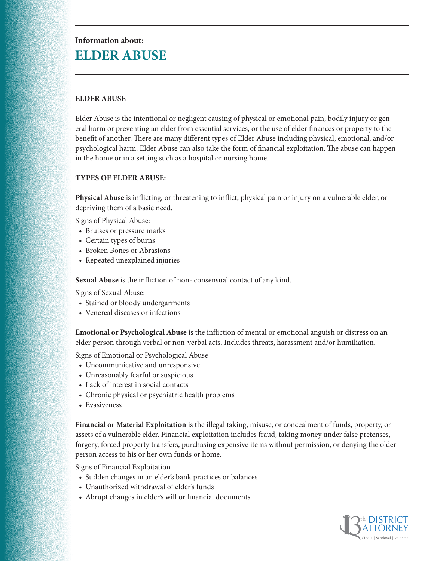# **Information about: ELDER ABUSE**

## **ELDER ABUSE**

Elder Abuse is the intentional or negligent causing of physical or emotional pain, bodily injury or general harm or preventing an elder from essential services, or the use of elder finances or property to the benefit of another. There are many different types of Elder Abuse including physical, emotional, and/or psychological harm. Elder Abuse can also take the form of financial exploitation. The abuse can happen in the home or in a setting such as a hospital or nursing home.

#### **TYPES OF ELDER ABUSE:**

**Physical Abuse** is inflicting, or threatening to inflict, physical pain or injury on a vulnerable elder, or depriving them of a basic need.

Signs of Physical Abuse:

- Bruises or pressure marks
- Certain types of burns
- Broken Bones or Abrasions
- Repeated unexplained injuries

**Sexual Abuse** is the infliction of non- consensual contact of any kind.

Signs of Sexual Abuse:

- Stained or bloody undergarments
- Venereal diseases or infections

**Emotional or Psychological Abuse** is the infliction of mental or emotional anguish or distress on an elder person through verbal or non-verbal acts. Includes threats, harassment and/or humiliation.

Signs of Emotional or Psychological Abuse

- Uncommunicative and unresponsive
- Unreasonably fearful or suspicious
- Lack of interest in social contacts
- Chronic physical or psychiatric health problems
- Evasiveness

**Financial or Material Exploitation** is the illegal taking, misuse, or concealment of funds, property, or assets of a vulnerable elder. Financial exploitation includes fraud, taking money under false pretenses, forgery, forced property transfers, purchasing expensive items without permission, or denying the older person access to his or her own funds or home.

Signs of Financial Exploitation

- Sudden changes in an elder's bank practices or balances
- Unauthorized withdrawal of elder's funds
- Abrupt changes in elder's will or financial documents